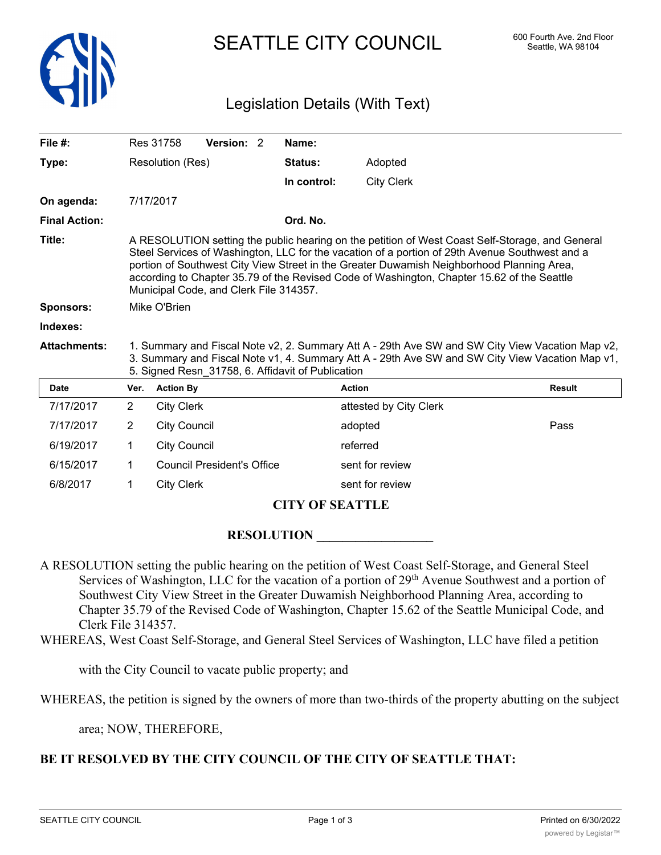

# SEATTLE CITY COUNCIL 600 Fourth Ave. 2nd Floor

## Legislation Details (With Text)

| File #:                    |                                                                                                                                                                                                                                                                                                                                                                                                                                        | Res 31758           | Version: 2                        |  | Name:       |                        |               |
|----------------------------|----------------------------------------------------------------------------------------------------------------------------------------------------------------------------------------------------------------------------------------------------------------------------------------------------------------------------------------------------------------------------------------------------------------------------------------|---------------------|-----------------------------------|--|-------------|------------------------|---------------|
| Type:                      |                                                                                                                                                                                                                                                                                                                                                                                                                                        | Resolution (Res)    |                                   |  | Status:     | Adopted                |               |
|                            |                                                                                                                                                                                                                                                                                                                                                                                                                                        |                     |                                   |  | In control: | <b>City Clerk</b>      |               |
| On agenda:                 |                                                                                                                                                                                                                                                                                                                                                                                                                                        | 7/17/2017           |                                   |  |             |                        |               |
| <b>Final Action:</b>       |                                                                                                                                                                                                                                                                                                                                                                                                                                        |                     |                                   |  | Ord. No.    |                        |               |
| Title:                     | A RESOLUTION setting the public hearing on the petition of West Coast Self-Storage, and General<br>Steel Services of Washington, LLC for the vacation of a portion of 29th Avenue Southwest and a<br>portion of Southwest City View Street in the Greater Duwamish Neighborhood Planning Area,<br>according to Chapter 35.79 of the Revised Code of Washington, Chapter 15.62 of the Seattle<br>Municipal Code, and Clerk File 314357. |                     |                                   |  |             |                        |               |
| <b>Sponsors:</b>           | Mike O'Brien                                                                                                                                                                                                                                                                                                                                                                                                                           |                     |                                   |  |             |                        |               |
| Indexes:                   |                                                                                                                                                                                                                                                                                                                                                                                                                                        |                     |                                   |  |             |                        |               |
| <b>Attachments:</b>        | 1. Summary and Fiscal Note v2, 2. Summary Att A - 29th Ave SW and SW City View Vacation Map v2,<br>3. Summary and Fiscal Note v1, 4. Summary Att A - 29th Ave SW and SW City View Vacation Map v1,<br>5. Signed Resn_31758, 6. Affidavit of Publication                                                                                                                                                                                |                     |                                   |  |             |                        |               |
| <b>Date</b>                | Ver.                                                                                                                                                                                                                                                                                                                                                                                                                                   | <b>Action By</b>    |                                   |  |             | <b>Action</b>          | <b>Result</b> |
| 7/17/2017                  | $\overline{2}$                                                                                                                                                                                                                                                                                                                                                                                                                         | <b>City Clerk</b>   |                                   |  |             | attested by City Clerk |               |
| 7/17/2017                  | $\overline{2}$                                                                                                                                                                                                                                                                                                                                                                                                                         | <b>City Council</b> |                                   |  |             | adopted                | Pass          |
| 6/19/2017                  | 1                                                                                                                                                                                                                                                                                                                                                                                                                                      | <b>City Council</b> |                                   |  |             | referred               |               |
| 6/15/2017                  | 1                                                                                                                                                                                                                                                                                                                                                                                                                                      |                     | <b>Council President's Office</b> |  |             | sent for review        |               |
| 6/8/2017                   | 1                                                                                                                                                                                                                                                                                                                                                                                                                                      | <b>City Clerk</b>   |                                   |  |             | sent for review        |               |
| $CITN/LCR$ or $CIR$ in $R$ |                                                                                                                                                                                                                                                                                                                                                                                                                                        |                     |                                   |  |             |                        |               |

### **CITY OF SEATTLE**

**RESOLUTION** 

A RESOLUTION setting the public hearing on the petition of West Coast Self-Storage, and General Steel Services of Washington, LLC for the vacation of a portion of 29<sup>th</sup> Avenue Southwest and a portion of Southwest City View Street in the Greater Duwamish Neighborhood Planning Area, according to Chapter 35.79 of the Revised Code of Washington, Chapter 15.62 of the Seattle Municipal Code, and Clerk File 314357.

WHEREAS, West Coast Self-Storage, and General Steel Services of Washington, LLC have filed a petition

with the City Council to vacate public property; and

WHEREAS, the petition is signed by the owners of more than two-thirds of the property abutting on the subject

area; NOW, THEREFORE,

#### **BE IT RESOLVED BY THE CITY COUNCIL OF THE CITY OF SEATTLE THAT:**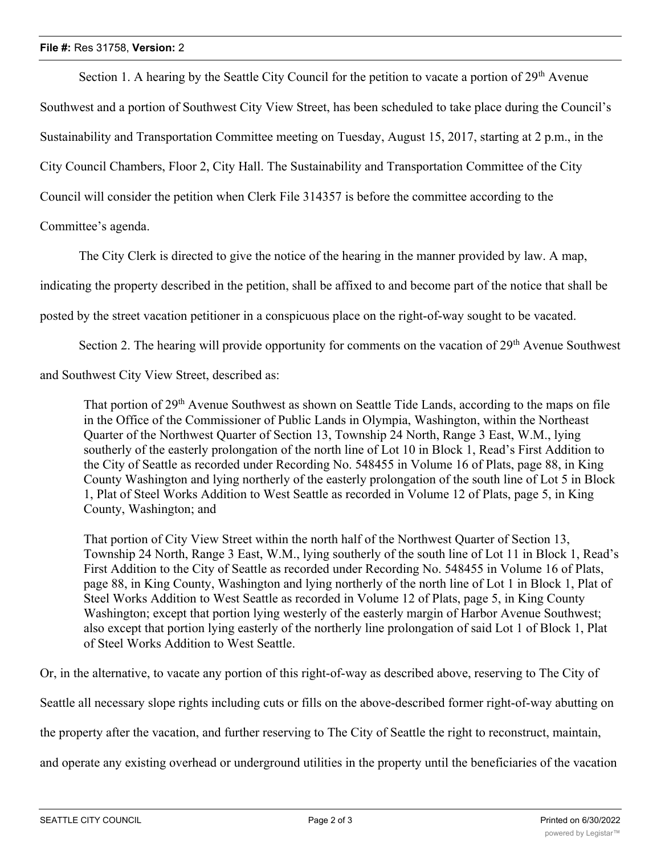Section 1. A hearing by the Seattle City Council for the petition to vacate a portion of  $29<sup>th</sup>$  Avenue Southwest and a portion of Southwest City View Street, has been scheduled to take place during the Council's Sustainability and Transportation Committee meeting on Tuesday, August 15, 2017, starting at 2 p.m., in the City Council Chambers, Floor 2, City Hall. The Sustainability and Transportation Committee of the City Council will consider the petition when Clerk File 314357 is before the committee according to the Committee's agenda.

The City Clerk is directed to give the notice of the hearing in the manner provided by law. A map,

indicating the property described in the petition, shall be affixed to and become part of the notice that shall be

posted by the street vacation petitioner in a conspicuous place on the right-of-way sought to be vacated.

Section 2. The hearing will provide opportunity for comments on the vacation of 29<sup>th</sup> Avenue Southwest

and Southwest City View Street, described as:

That portion of 29<sup>th</sup> Avenue Southwest as shown on Seattle Tide Lands, according to the maps on file in the Office of the Commissioner of Public Lands in Olympia, Washington, within the Northeast Quarter of the Northwest Quarter of Section 13, Township 24 North, Range 3 East, W.M., lying southerly of the easterly prolongation of the north line of Lot 10 in Block 1, Read's First Addition to the City of Seattle as recorded under Recording No. 548455 in Volume 16 of Plats, page 88, in King County Washington and lying northerly of the easterly prolongation of the south line of Lot 5 in Block 1, Plat of Steel Works Addition to West Seattle as recorded in Volume 12 of Plats, page 5, in King County, Washington; and

That portion of City View Street within the north half of the Northwest Quarter of Section 13, Township 24 North, Range 3 East, W.M., lying southerly of the south line of Lot 11 in Block 1, Read's First Addition to the City of Seattle as recorded under Recording No. 548455 in Volume 16 of Plats, page 88, in King County, Washington and lying northerly of the north line of Lot 1 in Block 1, Plat of Steel Works Addition to West Seattle as recorded in Volume 12 of Plats, page 5, in King County Washington; except that portion lying westerly of the easterly margin of Harbor Avenue Southwest; also except that portion lying easterly of the northerly line prolongation of said Lot 1 of Block 1, Plat of Steel Works Addition to West Seattle.

Or, in the alternative, to vacate any portion of this right-of-way as described above, reserving to The City of

Seattle all necessary slope rights including cuts or fills on the above-described former right-of-way abutting on

the property after the vacation, and further reserving to The City of Seattle the right to reconstruct, maintain,

and operate any existing overhead or underground utilities in the property until the beneficiaries of the vacation